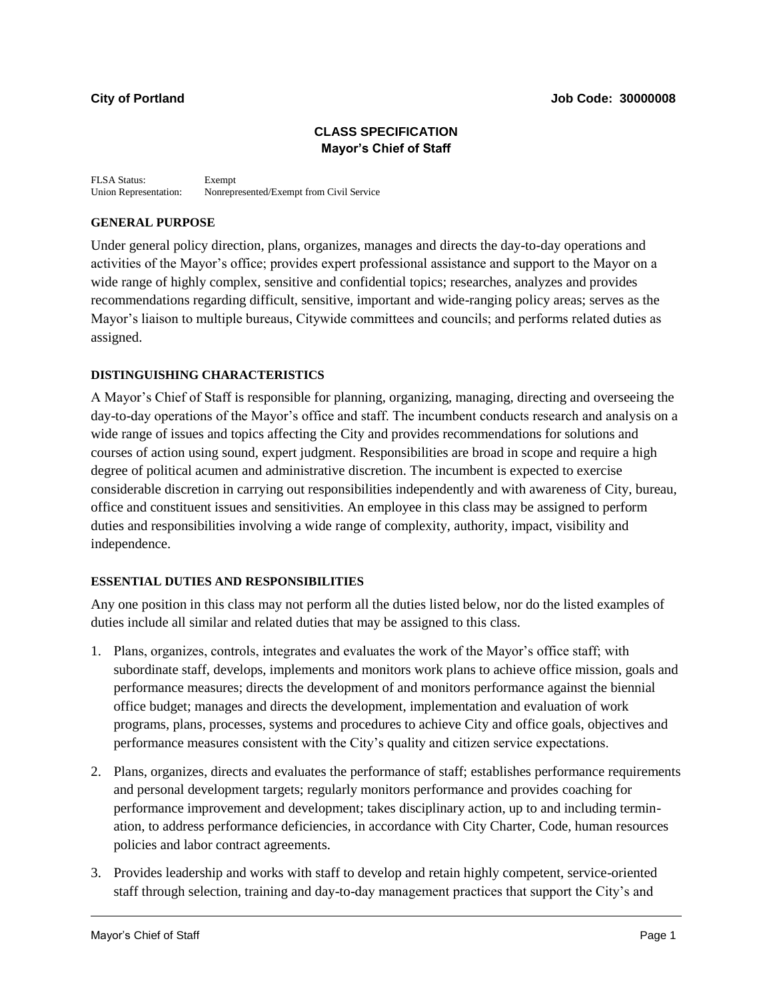## **CLASS SPECIFICATION Mayor's Chief of Staff**

FLSA Status: Exempt Union Representation: Nonrepresented/Exempt from Civil Service

### **GENERAL PURPOSE**

Under general policy direction, plans, organizes, manages and directs the day-to-day operations and activities of the Mayor's office; provides expert professional assistance and support to the Mayor on a wide range of highly complex, sensitive and confidential topics; researches, analyzes and provides recommendations regarding difficult, sensitive, important and wide-ranging policy areas; serves as the Mayor's liaison to multiple bureaus, Citywide committees and councils; and performs related duties as assigned.

## **DISTINGUISHING CHARACTERISTICS**

A Mayor's Chief of Staff is responsible for planning, organizing, managing, directing and overseeing the day-to-day operations of the Mayor's office and staff. The incumbent conducts research and analysis on a wide range of issues and topics affecting the City and provides recommendations for solutions and courses of action using sound, expert judgment. Responsibilities are broad in scope and require a high degree of political acumen and administrative discretion. The incumbent is expected to exercise considerable discretion in carrying out responsibilities independently and with awareness of City, bureau, office and constituent issues and sensitivities. An employee in this class may be assigned to perform duties and responsibilities involving a wide range of complexity, authority, impact, visibility and independence.

### **ESSENTIAL DUTIES AND RESPONSIBILITIES**

Any one position in this class may not perform all the duties listed below, nor do the listed examples of duties include all similar and related duties that may be assigned to this class.

- 1. Plans, organizes, controls, integrates and evaluates the work of the Mayor's office staff; with subordinate staff, develops, implements and monitors work plans to achieve office mission, goals and performance measures; directs the development of and monitors performance against the biennial office budget; manages and directs the development, implementation and evaluation of work programs, plans, processes, systems and procedures to achieve City and office goals, objectives and performance measures consistent with the City's quality and citizen service expectations.
- 2. Plans, organizes, directs and evaluates the performance of staff; establishes performance requirements and personal development targets; regularly monitors performance and provides coaching for performance improvement and development; takes disciplinary action, up to and including termination, to address performance deficiencies, in accordance with City Charter, Code, human resources policies and labor contract agreements.
- 3. Provides leadership and works with staff to develop and retain highly competent, service-oriented staff through selection, training and day-to-day management practices that support the City's and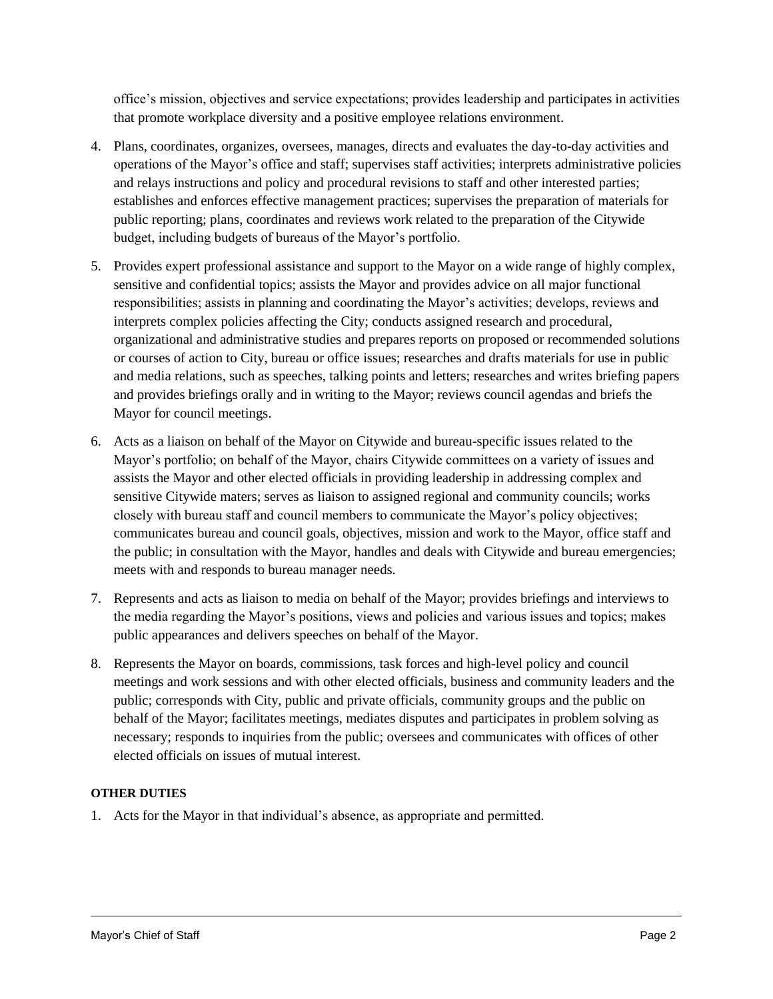office's mission, objectives and service expectations; provides leadership and participates in activities that promote workplace diversity and a positive employee relations environment.

- 4. Plans, coordinates, organizes, oversees, manages, directs and evaluates the day-to-day activities and operations of the Mayor's office and staff; supervises staff activities; interprets administrative policies and relays instructions and policy and procedural revisions to staff and other interested parties; establishes and enforces effective management practices; supervises the preparation of materials for public reporting; plans, coordinates and reviews work related to the preparation of the Citywide budget, including budgets of bureaus of the Mayor's portfolio.
- 5. Provides expert professional assistance and support to the Mayor on a wide range of highly complex, sensitive and confidential topics; assists the Mayor and provides advice on all major functional responsibilities; assists in planning and coordinating the Mayor's activities; develops, reviews and interprets complex policies affecting the City; conducts assigned research and procedural, organizational and administrative studies and prepares reports on proposed or recommended solutions or courses of action to City, bureau or office issues; researches and drafts materials for use in public and media relations, such as speeches, talking points and letters; researches and writes briefing papers and provides briefings orally and in writing to the Mayor; reviews council agendas and briefs the Mayor for council meetings.
- 6. Acts as a liaison on behalf of the Mayor on Citywide and bureau-specific issues related to the Mayor's portfolio; on behalf of the Mayor, chairs Citywide committees on a variety of issues and assists the Mayor and other elected officials in providing leadership in addressing complex and sensitive Citywide maters; serves as liaison to assigned regional and community councils; works closely with bureau staff and council members to communicate the Mayor's policy objectives; communicates bureau and council goals, objectives, mission and work to the Mayor, office staff and the public; in consultation with the Mayor, handles and deals with Citywide and bureau emergencies; meets with and responds to bureau manager needs.
- 7. Represents and acts as liaison to media on behalf of the Mayor; provides briefings and interviews to the media regarding the Mayor's positions, views and policies and various issues and topics; makes public appearances and delivers speeches on behalf of the Mayor.
- 8. Represents the Mayor on boards, commissions, task forces and high-level policy and council meetings and work sessions and with other elected officials, business and community leaders and the public; corresponds with City, public and private officials, community groups and the public on behalf of the Mayor; facilitates meetings, mediates disputes and participates in problem solving as necessary; responds to inquiries from the public; oversees and communicates with offices of other elected officials on issues of mutual interest.

# **OTHER DUTIES**

1. Acts for the Mayor in that individual's absence, as appropriate and permitted.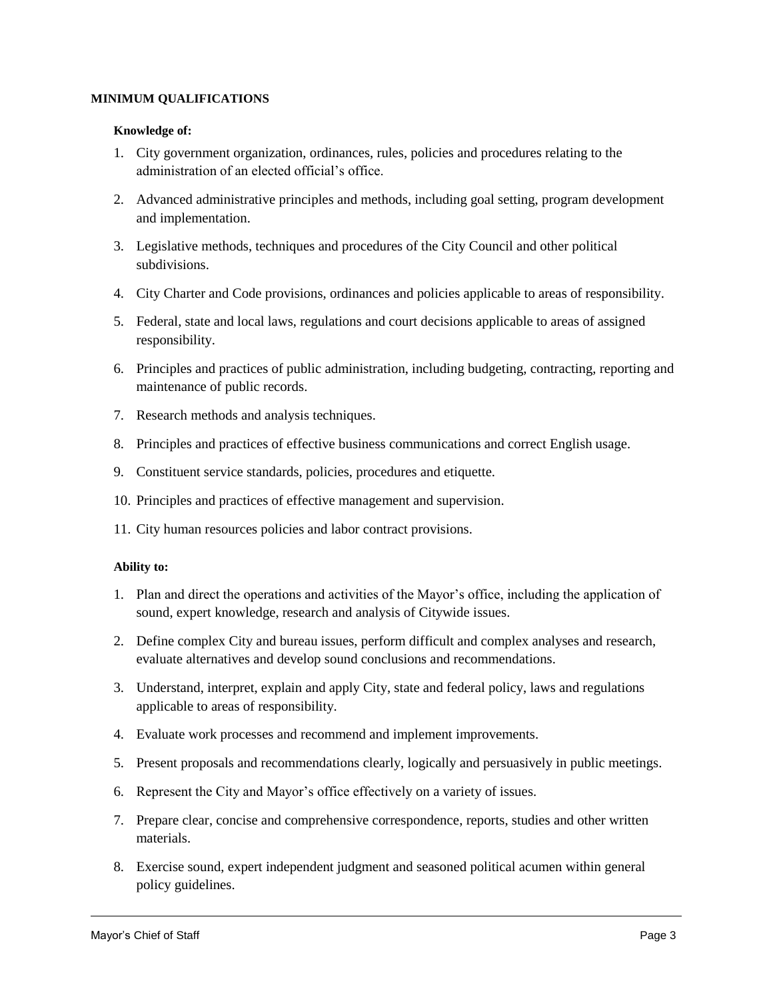#### **MINIMUM QUALIFICATIONS**

#### **Knowledge of:**

- 1. City government organization, ordinances, rules, policies and procedures relating to the administration of an elected official's office.
- 2. Advanced administrative principles and methods, including goal setting, program development and implementation.
- 3. Legislative methods, techniques and procedures of the City Council and other political subdivisions.
- 4. City Charter and Code provisions, ordinances and policies applicable to areas of responsibility.
- 5. Federal, state and local laws, regulations and court decisions applicable to areas of assigned responsibility.
- 6. Principles and practices of public administration, including budgeting, contracting, reporting and maintenance of public records.
- 7. Research methods and analysis techniques.
- 8. Principles and practices of effective business communications and correct English usage.
- 9. Constituent service standards, policies, procedures and etiquette.
- 10. Principles and practices of effective management and supervision.
- 11. City human resources policies and labor contract provisions.

### **Ability to:**

- 1. Plan and direct the operations and activities of the Mayor's office, including the application of sound, expert knowledge, research and analysis of Citywide issues.
- 2. Define complex City and bureau issues, perform difficult and complex analyses and research, evaluate alternatives and develop sound conclusions and recommendations.
- 3. Understand, interpret, explain and apply City, state and federal policy, laws and regulations applicable to areas of responsibility.
- 4. Evaluate work processes and recommend and implement improvements.
- 5. Present proposals and recommendations clearly, logically and persuasively in public meetings.
- 6. Represent the City and Mayor's office effectively on a variety of issues.
- 7. Prepare clear, concise and comprehensive correspondence, reports, studies and other written materials.
- 8. Exercise sound, expert independent judgment and seasoned political acumen within general policy guidelines.